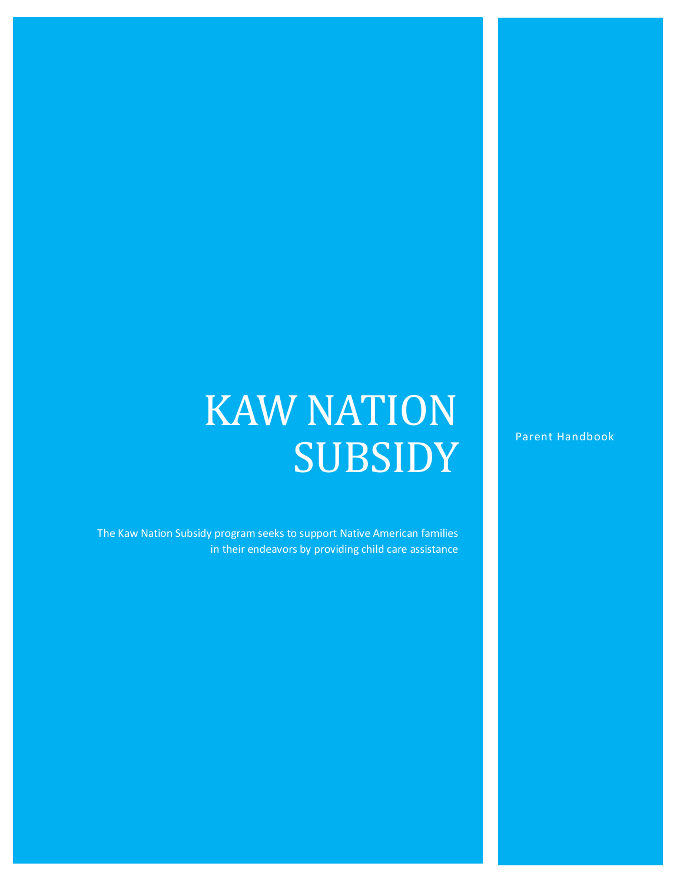# KAW NATION **SUBSIDY**

The Kaw Nation Subsidy program seeks to support Native American families in their endeavors by providing child care assistance Parent Handbook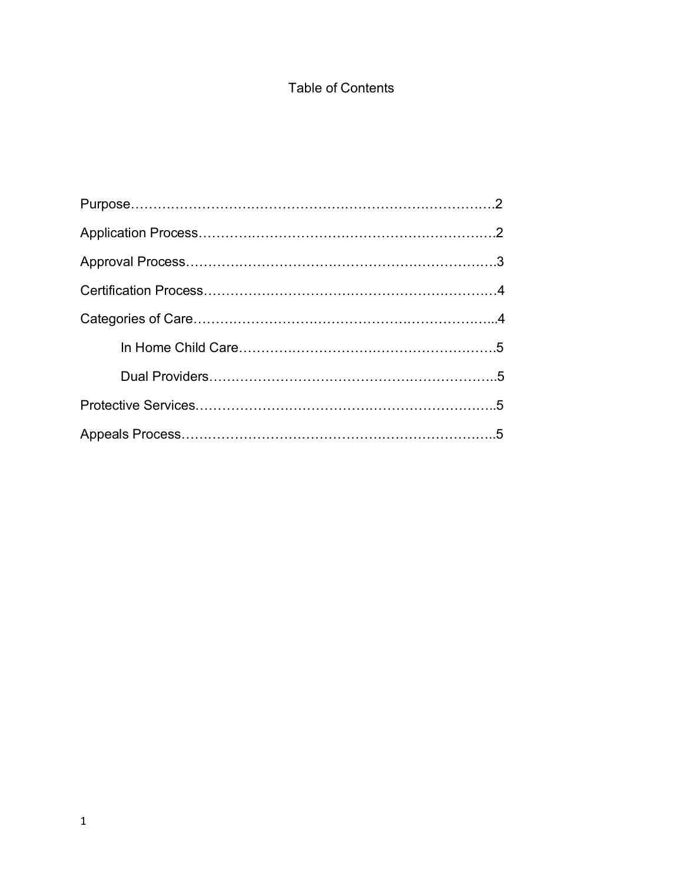# Table of Contents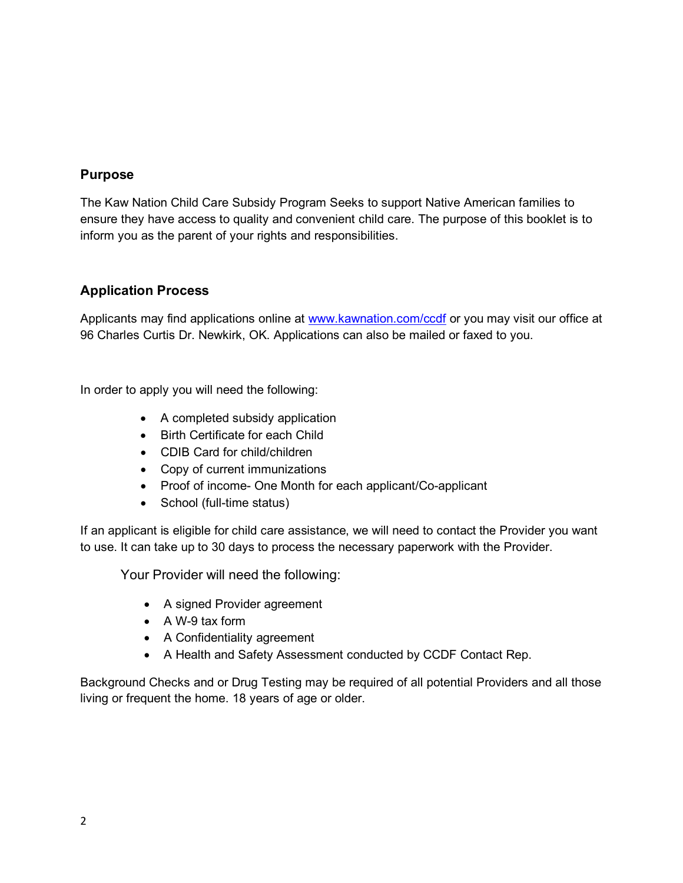#### **Purpose**

The Kaw Nation Child Care Subsidy Program Seeks to support Native American families to ensure they have access to quality and convenient child care. The purpose of this booklet is to inform you as the parent of your rights and responsibilities.

#### **Application Process**

Applicants may find applications online at [www.kawnation.com/ccdf](http://www.kawnation.com/ccdf) or you may visit our office at 96 Charles Curtis Dr. Newkirk, OK. Applications can also be mailed or faxed to you.

In order to apply you will need the following:

- A completed subsidy application
- Birth Certificate for each Child
- CDIB Card for child/children
- Copy of current immunizations
- Proof of income- One Month for each applicant/Co-applicant
- School (full-time status)

If an applicant is eligible for child care assistance, we will need to contact the Provider you want to use. It can take up to 30 days to process the necessary paperwork with the Provider.

Your Provider will need the following:

- A signed Provider agreement
- A W-9 tax form
- A Confidentiality agreement
- A Health and Safety Assessment conducted by CCDF Contact Rep.

Background Checks and or Drug Testing may be required of all potential Providers and all those living or frequent the home. 18 years of age or older.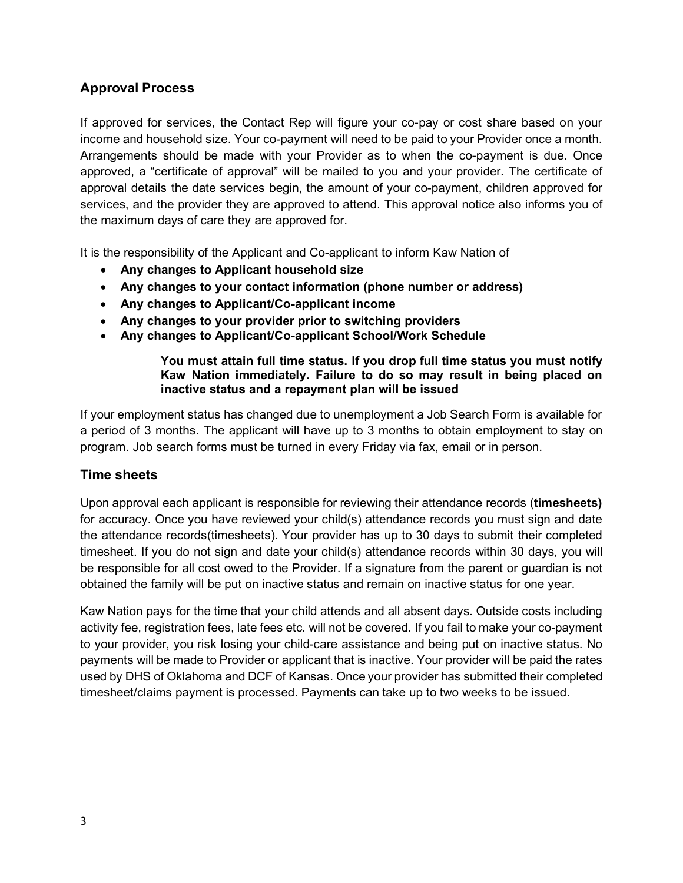#### **Approval Process**

If approved for services, the Contact Rep will figure your co-pay or cost share based on your income and household size. Your co-payment will need to be paid to your Provider once a month. Arrangements should be made with your Provider as to when the co-payment is due. Once approved, a "certificate of approval" will be mailed to you and your provider. The certificate of approval details the date services begin, the amount of your co-payment, children approved for services, and the provider they are approved to attend. This approval notice also informs you of the maximum days of care they are approved for.

It is the responsibility of the Applicant and Co-applicant to inform Kaw Nation of

- **Any changes to Applicant household size**
- **Any changes to your contact information (phone number or address)**
- **Any changes to Applicant/Co-applicant income**
- **Any changes to your provider prior to switching providers**
- **Any changes to Applicant/Co-applicant School/Work Schedule**

#### **You must attain full time status. If you drop full time status you must notify Kaw Nation immediately. Failure to do so may result in being placed on inactive status and a repayment plan will be issued**

If your employment status has changed due to unemployment a Job Search Form is available for a period of 3 months. The applicant will have up to 3 months to obtain employment to stay on program. Job search forms must be turned in every Friday via fax, email or in person.

#### **Time sheets**

Upon approval each applicant is responsible for reviewing their attendance records (**timesheets)** for accuracy. Once you have reviewed your child(s) attendance records you must sign and date the attendance records(timesheets). Your provider has up to 30 days to submit their completed timesheet. If you do not sign and date your child(s) attendance records within 30 days, you will be responsible for all cost owed to the Provider. If a signature from the parent or guardian is not obtained the family will be put on inactive status and remain on inactive status for one year.

Kaw Nation pays for the time that your child attends and all absent days. Outside costs including activity fee, registration fees, late fees etc. will not be covered. If you fail to make your co-payment to your provider, you risk losing your child-care assistance and being put on inactive status. No payments will be made to Provider or applicant that is inactive. Your provider will be paid the rates used by DHS of Oklahoma and DCF of Kansas. Once your provider has submitted their completed timesheet/claims payment is processed. Payments can take up to two weeks to be issued.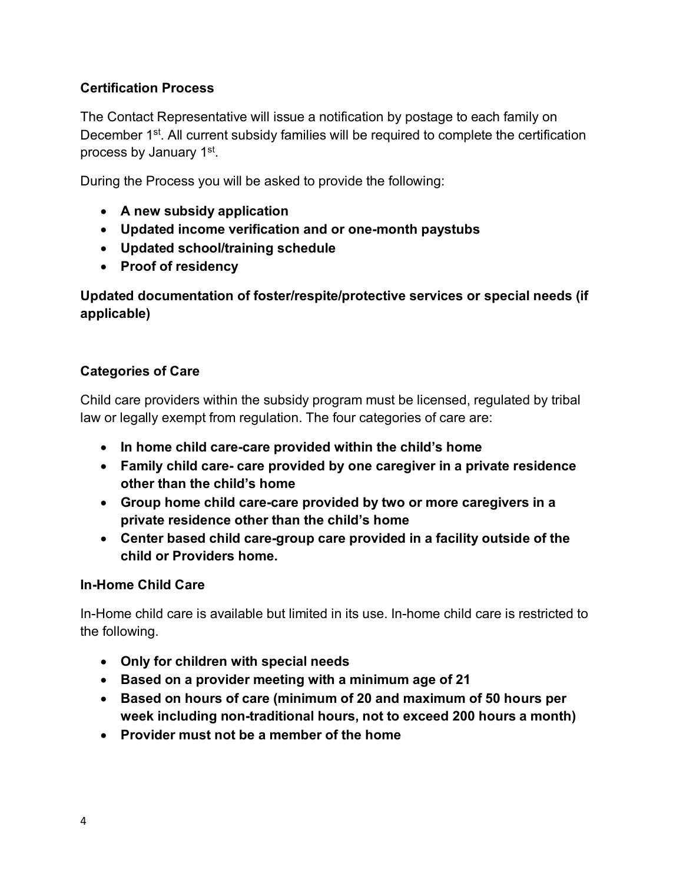# **Certification Process**

The Contact Representative will issue a notification by postage to each family on December 1<sup>st</sup>. All current subsidy families will be required to complete the certification process by January 1st.

During the Process you will be asked to provide the following:

- **A new subsidy application**
- **Updated income verification and or one-month paystubs**
- **Updated school/training schedule**
- **Proof of residency**

**Updated documentation of foster/respite/protective services or special needs (if applicable)**

# **Categories of Care**

Child care providers within the subsidy program must be licensed, regulated by tribal law or legally exempt from regulation. The four categories of care are:

- **In home child care-care provided within the child's home**
- **Family child care- care provided by one caregiver in a private residence other than the child's home**
- **Group home child care-care provided by two or more caregivers in a private residence other than the child's home**
- **Center based child care-group care provided in a facility outside of the child or Providers home.**

# **In-Home Child Care**

In-Home child care is available but limited in its use. In-home child care is restricted to the following.

- **Only for children with special needs**
- **Based on a provider meeting with a minimum age of 21**
- **Based on hours of care (minimum of 20 and maximum of 50 hours per week including non-traditional hours, not to exceed 200 hours a month)**
- **Provider must not be a member of the home**